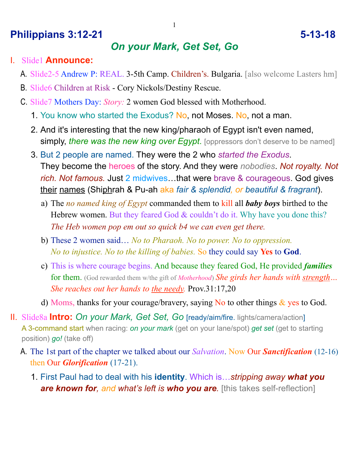## **Philippians 3:12-21 5-13-18**

# *On your Mark, Get Set, Go*

- I. Slide1 **Announce:**
	- A. Slide2-5 Andrew P: REAL. 3-5th Camp. Children's. Bulgaria. [also welcome Lasters hm]
	- B. Slide6 Children at Risk Cory Nickols/Destiny Rescue.
	- C. Slide7 Mothers Day: *Story:* 2 women God blessed with Motherhood.
		- 1. You know who started the Exodus? No, not Moses. No, not a man.
		- 2. And it's interesting that the new king/pharaoh of Egypt isn't even named, **simply,** *there was the new king over Egypt*. [oppressors don't deserve to be named]
		- 3. But 2 people are named. They were the 2 who *started the Exodus*. They become the heroes of the story. And they were *nobodies*. *Not royalty. Not rich. Not famous.* Just 2 midwives…that were brave & courageous. God gives their names (Shiphrah & Pu-ah aka *fair & splendid, or beautiful & fragrant*).
			- a) The *no named king of Egypt* commanded them to kill all *baby boys* birthed to the Hebrew women. But they feared God & couldn't do it. Why have you done this? *The Heb women pop em out so quick b4 we can even get there.*
			- b) These 2 women said… *No to Pharaoh. No to power. No to oppression. No to injustice. No to the killing of babies.* So they could say **Yes** to **God**.
			- c) This is where courage begins. And because they feared God, He provided *families* for them. (God rewarded them w/the gift of *Motherhood*) *She girds her hands with strength… She reaches out her hands to the needy.* Prov.31:17,20
			- d) Moms, thanks for your courage/bravery, saying No to other things  $\&$  yes to God.
- II. Slide8a **Intro:** *On your Mark, Get Set, Go* [ready/aim/fire. lights/camera/action] A 3-command start when racing: *on your mark* (get on your lane/spot) *get set* (get to starting position) *go!* (take off)
	- A. The 1st part of the chapter we talked about our *Salvation*. Now Our *Sanctification* (12-16) then Our *Glorification* (17-21).
		- 1. First Paul had to deal with his **identity**. Which is…*stripping away what you are known for, and what's left is who you are.* [this takes self-reflection]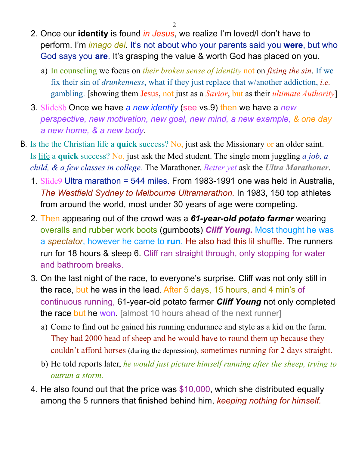2

- 2. Once our **identity** is found *in Jesus*, we realize I'm loved/I don't have to perform. I'm *imago dei*. It's not about who your parents said you **were**, but who God says you **are**. It's grasping the value & worth God has placed on you.
	- a) In counseling we focus on *their broken sense of identity* not on *fixing the sin*. If we fix their sin of *drunkenness*, what if they just replace that w/another addiction, *i.e.* gambling. [showing them Jesus, not just as a *Savior*, but as their *ultimate Authority*]
- 3. Slide8b Once we have *a new identity* (see vs.9) then we have a *new perspective, new motivation, new goal, new mind, a new example, & one day a new home, & a new body*.
- B. Is the the Christian life a **quick** success? No, just ask the Missionary or an older saint. Is life a **quick** success? No, just ask the Med student. The single mom juggling *a job, a child, & a few classes in college.* The Marathoner. *Better yet* ask the *Ultra Marathoner*.
	- 1. Slide9 Ultra marathon = 544 miles. From 1983-1991 one was held in Australia, *The Westfield Sydney to Melbourne Ultramarathon.* In 1983, 150 top athletes from around the world, most under 30 years of age were competing.
	- 2. Then appearing out of the crowd was a *61-year-old potato farmer* wearing overalls and rubber work boots (gumboots) *Cliff Young.* Most thought he was a *spectator*, however he came to **run**. He also had this lil shuffle. The runners run for 18 hours & sleep 6. Cliff ran straight through, only stopping for water and bathroom breaks.
	- 3. On the last night of the race, to everyone's surprise, Cliff was not only still in the race, but he was in the lead. After 5 days, 15 hours, and 4 min's of continuous running, 61-year-old potato farmer *Cliff Young* not only completed the race but he won. [almost 10 hours ahead of the next runner]
		- a) Come to find out he gained his running endurance and style as a kid on the farm. They had 2000 head of sheep and he would have to round them up because they couldn't afford horses (during the depression), sometimes running for 2 days straight.
		- b) He told reports later, *he would just picture himself running after the sheep, trying to outrun a storm.*
	- 4. He also found out that the price was \$10,000, which she distributed equally among the 5 runners that finished behind him, *keeping nothing for himself.*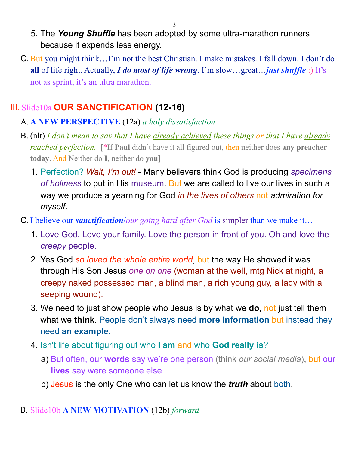3

- 5. The *Young Shuffle* has been adopted by some ultra-marathon runners because it expends less energy.
- C.But you might think…I'm not the best Christian. I make mistakes. I fall down. I don't do **all** of life right. Actually, *I do most of life wrong*. I'm slow…great…*just shuffle* :) It's not as sprint, it's an ultra marathon.

# III. Slide10a **OUR SANCTIFICATION (12-16)**

### A. **A NEW PERSPECTIVE** (12a) *a holy dissatisfaction*

- B. (nlt) *I don't mean to say that I have already achieved these things or that I have already reached perfection.* [\*If **Paul** didn't have it all figured out, then neither does **any preacher today**. And Neither do **I,** neither do **you**]
	- 1. Perfection? *Wait, I'm out!* Many believers think God is producing *specimens of holiness* to put in His museum. But we are called to live our lives in such a way we produce a yearning for God *in the lives of others* not *admiration for myself*.
- C.I believe our *sanctification*/*our going hard after God* is simpler than we make it…
	- 1. Love God. Love your family. Love the person in front of you. Oh and love the *creepy* people.
	- 2. Yes God *so loved the whole entire world*, but the way He showed it was through His Son Jesus *one on one* (woman at the well, mtg Nick at night, a creepy naked possessed man, a blind man, a rich young guy, a lady with a seeping wound).
	- 3. We need to just show people who Jesus is by what we **do**, not just tell them what we **think**. People don't always need **more information** but instead they need **an example**.
	- 4. Isn't life about figuring out who **I am** and who **God really is**?
		- a) But often, our **words** say we're one person (think *our social media*), but our **lives** say were someone else.
		- b) Jesus is the only One who can let us know the *truth* about both.

### D. Slide10b **A NEW MOTIVATION** (12b) *forward*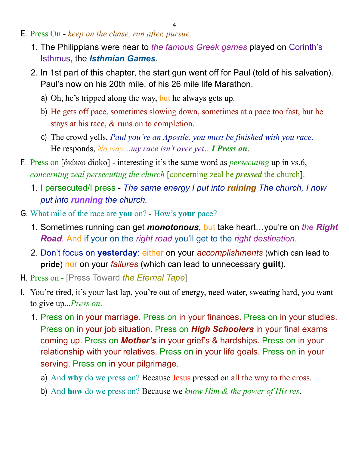- E. Press On *keep on the chase, run after, pursue.*
	- 1. The Philippians were near to *the famous Greek games* played on Corinth's Isthmus, the *Isthmian Games*.
	- 2. In 1st part of this chapter, the start gun went off for Paul (told of his salvation). Paul's now on his 20th mile, of his 26 mile life Marathon.
		- a) Oh, he's tripped along the way, but he always gets up.
		- b) He gets off pace, sometimes slowing down, sometimes at a pace too fast, but he stays at his race, & runs on to completion.
		- c) The crowd yells, *Paul you're an Apostle, you must be finished with you race.* He responds, *No way…my race isn't over yet…I Press on*.
- F. Press on [διώκω dioko] interesting it's the same word as *persecuting* up in vs.6, *concerning zeal persecuting the church* [concerning zeal he *pressed* the church].
	- 1. I persecuted/I press *The same energy I put into ruining The church, I now put into running the church.*
- G. What mile of the race are **you** on? How's **your** pace?
	- 1. Sometimes running can get *monotonous*, but take heart…you're on *the Right Road.* And if your on the *right road* you'll get to the *right destination*.
	- 2. Don't focus on **yesterday**: either on your *accomplishments* (which can lead to **pride**) nor on your *failures* (which can lead to unnecessary **guilt**).
- H. Press on [Press Toward *the Eternal Tape*]
- I. You're tired, it's your last lap, you're out of energy, need water, sweating hard, you want to give up...*Press on*.
	- 1. Press on in your marriage. Press on in your finances. Press on in your studies. Press on in your job situation. Press on *High Schoolers* in your final exams coming up. Press on *Mother's* in your grief's & hardships. Press on in your relationship with your relatives. Press on in your life goals. Press on in your serving. Press on in your pilgrimage.
		- a) And **why** do we press on? Because Jesus pressed on all the way to the cross.
		- b) And **how** do we press on? Because we *know Him & the power of His res*.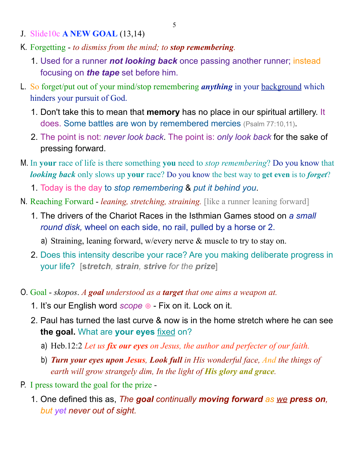- J. Slide10c **A NEW GOAL** (13,14)
- K. Forgetting *to dismiss from the mind; to stop remembering.*
	- 1. Used for a runner *not looking back* once passing another runner; instead focusing on *the tape* set before him.
- L. So forget/put out of your mind/stop remembering *anything* in your background which hinders your pursuit of God.
	- 1. Don't take this to mean that **memory** has no place in our spiritual artillery. It does. Some battles are won by remembered mercies (Psalm 77:10,11).
	- 2. The point is not: *never look back*. The point is: *only look back* for the sake of pressing forward.
- M. In **your** race of life is there something **you** need to *stop remembering*? Do you know that *looking back* only slows up **your** race? Do you know the best way to **get even** is to *forget*?
	- 1. Today is the day to *stop remembering* & *put it behind you*.
- N. Reaching Forward *leaning, stretching, straining.* [like a runner leaning forward]
	- 1. The drivers of the Chariot Races in the Isthmian Games stood on *a small round disk,* wheel on each side, no rail, pulled by a horse or 2.
		- a) Straining, leaning forward, w/every nerve & muscle to try to stay on.
	- 2. Does this intensity describe your race? Are you making deliberate progress in your life? [**s***tretch, strain, strive for the prize*]
- O. Goal *skopos*. *A goal understood as a target that one aims a weapon at.*
	- 1. It's our English word *scope* ⊕ Fix on it. Lock on it.
	- 2. Paul has turned the last curve & now is in the home stretch where he can see **the goal.** What are **your eyes** fixed on?
		- a) Heb.12:2 *Let us fix our eyes on Jesus, the author and perfecter of our faith.*
		- b) *Turn your eyes upon Jesus, Look full in His wonderful face, And the things of earth will grow strangely dim, In the light of His glory and grace.*
- P. I press toward the goal for the prize
	- 1. One defined this as, *The goal continually moving forward as we press on, but yet never out of sight.*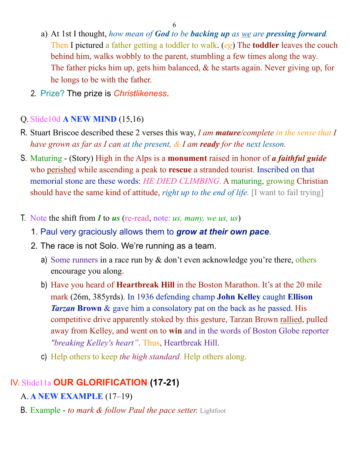- a) At 1st I thought, *how mean of God to be backing up as we are pressing forward.* Then I pictured a father getting a toddler to walk. (*eg*) The **toddler** leaves the couch behind him, walks wobbly to the parent, stumbling a few times along the way. The father picks him up, gets him balanced, & he starts again. Never giving up, for he longs to be with the father.
- 2. Prize? The prize is *Christlikeness*.

#### Q. Slide10d **A NEW MIND** (15,16)

- R. Stuart Briscoe described these 2 verses this way, *I am mature/complete in the sense that I have grown as far as I can at the present, & I am ready for the next lesson.*
- S. Maturing (Story) High in the Alps is a **monument** raised in honor of *a faithful guide* who perished while ascending a peak to **rescue** a stranded tourist. Inscribed on that memorial stone are these words: *HE DIED CLIMBING.* A maturing, growing Christian should have the same kind of attitude, *right up to the end of life.* [I want to fail trying]
- T. Note the shift from *I* to *us* (re-read, note: *us, many, we us, us*)
	- 1. Paul very graciously allows them to *grow at their own pace*.
	- 2. The race is not Solo. We're running as a team.
		- a) Some runners in a race run by  $\&$  don't even acknowledge you're there, others encourage you along.
		- b) Have you heard of **Heartbreak Hill** in the Boston Marathon. It's at the 20 mile mark (26m, 385yrds). In 1936 defending champ **John Kelley** caught **Ellison**  *Tarzan* Brown & gave him a consolatory pat on the back as he passed. His competitive drive apparently stoked by this gesture, Tarzan Brown rallied, pulled away from Kelley, and went on to **win** and in the words of Boston Globe reporter *"breaking Kelley's heart"*. Thus, Heartbreak Hill.
		- c) Help others to keep *the high standard*. Help others along.

## IV. Slide11a **OUR GLORIFICATION (17-21)**

- A. **A NEW EXAMPLE** (17–19)
- B. Example - *to mark & follow Paul the pace setter.* Lightfoot